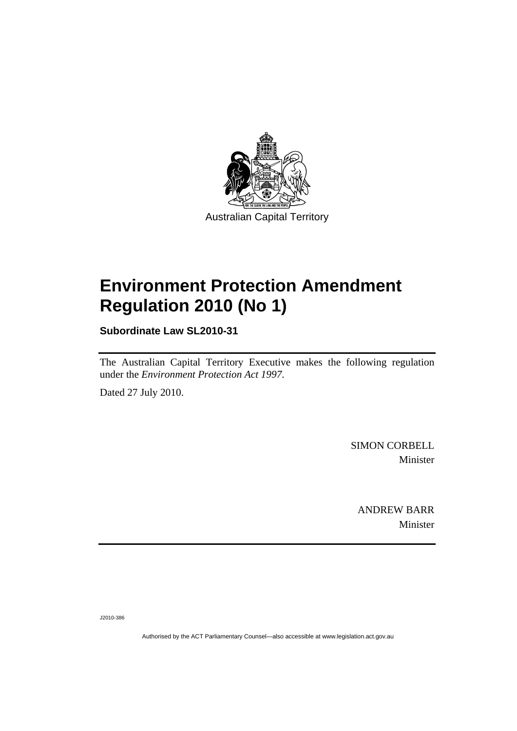

## **[Environment Protection Amendment](#page-2-0)  [Regulation 2010 \(No 1\)](#page-2-0)**

**Subordinate Law SL2010-31** 

The Australian Capital Territory Executive makes the following regulation under the *[Environment Protection Act 1997](#page-2-0)*.

Dated 27 July 2010.

SIMON CORBELL Minister

ANDREW BARR Minister

J2010-386

Authorised by the ACT Parliamentary Counsel—also accessible at www.legislation.act.gov.au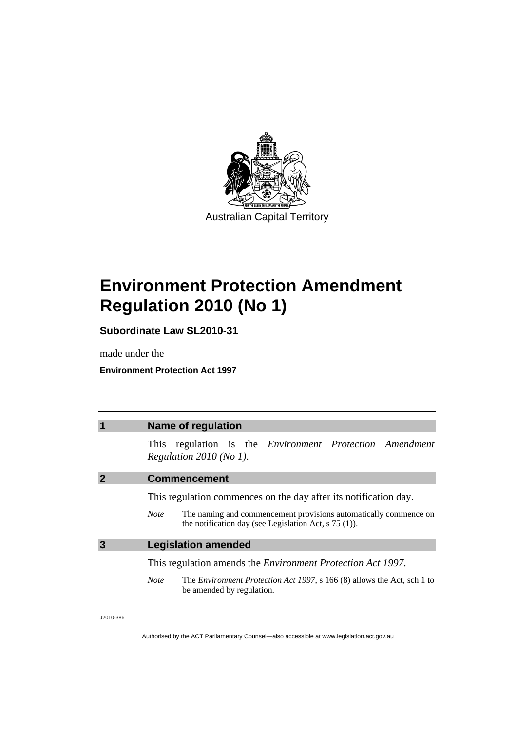<span id="page-2-0"></span>

# **Environment Protection Amendment Regulation 2010 (No 1)**

**Subordinate Law SL2010-31** 

made under the

**Environment Protection Act 1997** 

|   | <b>Name of regulation</b>                                                                                                                                                                                      |
|---|----------------------------------------------------------------------------------------------------------------------------------------------------------------------------------------------------------------|
|   | This regulation is the <i>Environment Protection Amendment</i><br>Regulation 2010 (No 1).                                                                                                                      |
|   | <b>Commencement</b>                                                                                                                                                                                            |
|   | This regulation commences on the day after its notification day.<br>The naming and commencement provisions automatically commence on<br><b>Note</b><br>the notification day (see Legislation Act, $s$ 75 (1)). |
| 3 | <b>Legislation amended</b>                                                                                                                                                                                     |
|   | This regulation amends the <i>Environment Protection Act 1997</i> .                                                                                                                                            |
|   | <b>Note</b><br>The <i>Environment Protection Act 1997</i> , s 166 (8) allows the Act, sch 1 to<br>be amended by regulation.                                                                                    |

J2010-386

Authorised by the ACT Parliamentary Counsel—also accessible at www.legislation.act.gov.au